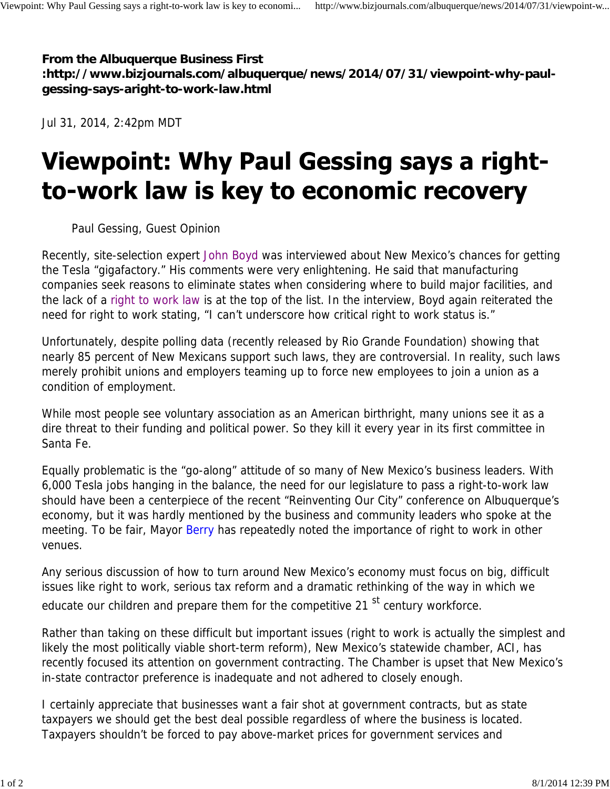**From the Albuquerque Business First :http://www.bizjournals.com/albuquerque/news/2014/07/31/viewpoint-why-paulgessing-says-aright-to-work-law.html**

Jul 31, 2014, 2:42pm MDT

## **Viewpoint: Why Paul Gessing says a right**to-work law is key to economic recovery

Paul Gessing, Guest Opinion

Recently, site-selection expert John Boyd was interviewed about New Mexico's chances for getting the Tesla "gigafactory." His comments were very enlightening. He said that manufacturing companies seek reasons to eliminate states when considering where to build major facilities, and the lack of a right to work law is at the top of the list. In the interview, Boyd again reiterated the need for right to work stating, "I can't underscore how critical right to work status is."

Unfortunately, despite polling data (recently released by Rio Grande Foundation) showing that nearly 85 percent of New Mexicans support such laws, they are controversial. In reality, such laws merely prohibit unions and employers teaming up to force new employees to join a union as a condition of employment.

While most people see voluntary association as an American birthright, many unions see it as a dire threat to their funding and political power. So they kill it every year in its first committee in Santa Fe.

Equally problematic is the "go-along" attitude of so many of New Mexico's business leaders. With 6,000 Tesla jobs hanging in the balance, the need for our legislature to pass a right-to-work law should have been a centerpiece of the recent "Reinventing Our City" conference on Albuquerque's economy, but it was hardly mentioned by the business and community leaders who spoke at the meeting. To be fair, Mayor Berry has repeatedly noted the importance of right to work in other venues.

Any serious discussion of how to turn around New Mexico's economy must focus on big, difficult issues like right to work, serious tax reform and a dramatic rethinking of the way in which we educate our children and prepare them for the competitive 21 <sup>st</sup> century workforce.

Rather than taking on these difficult but important issues (right to work is actually the simplest and likely the most politically viable short-term reform), New Mexico's statewide chamber, ACI, has recently focused its attention on government contracting. The Chamber is upset that New Mexico's in-state contractor preference is inadequate and not adhered to closely enough.

I certainly appreciate that businesses want a fair shot at government contracts, but as state taxpayers we should get the best deal possible regardless of where the business is located. Taxpayers shouldn't be forced to pay above-market prices for government services and